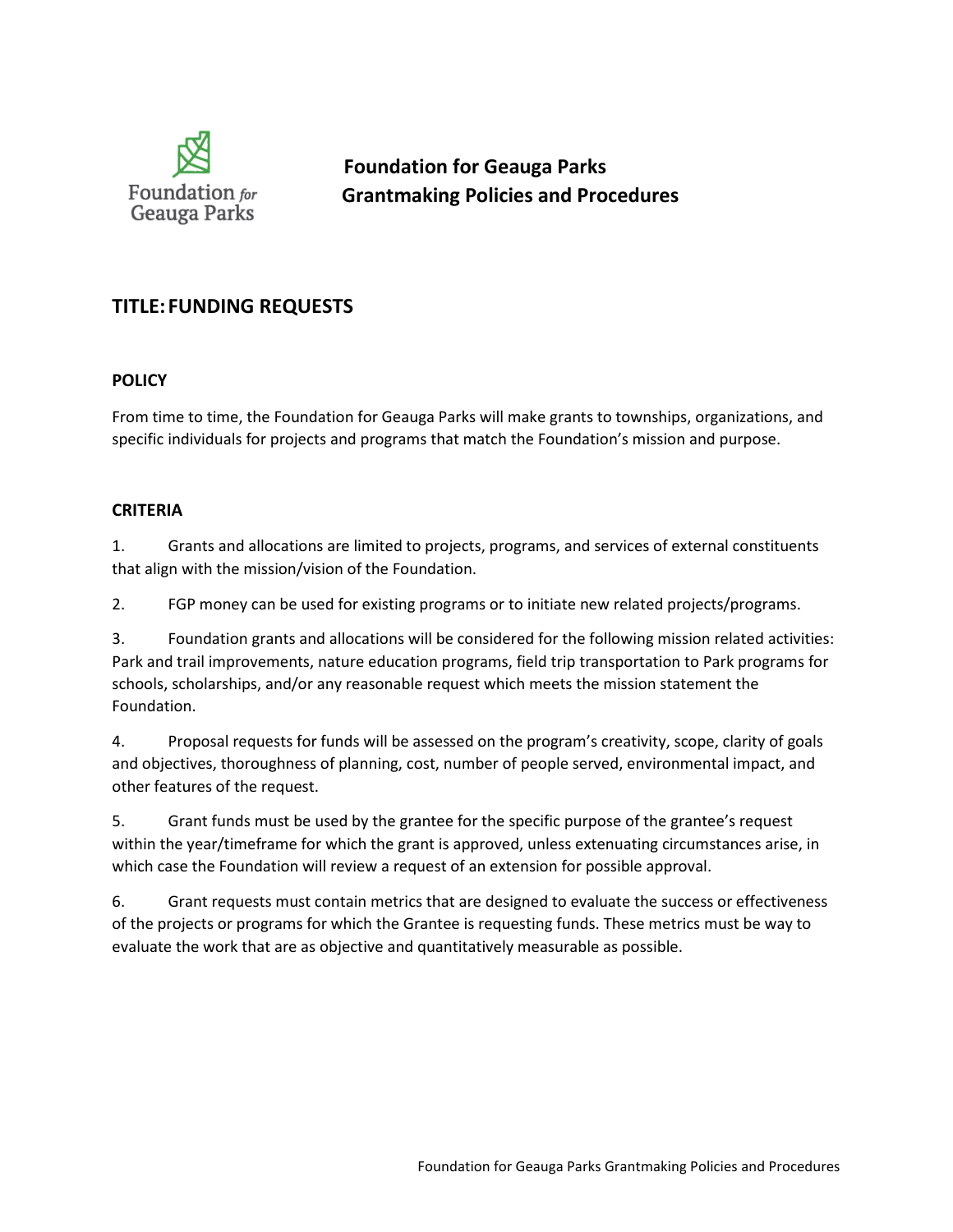

**Foundation for Geauga Parks Grantmaking Policies and Procedures**

# **TITLE: FUNDING REQUESTS**

# **POLICY**

From time to time, the Foundation for Geauga Parks will make grants to townships, organizations, and specific individuals for projects and programs that match the Foundation's mission and purpose.

#### **CRITERIA**

1. Grants and allocations are limited to projects, programs, and services of external constituents that align with the mission/vision of the Foundation.

2. FGP money can be used for existing programs or to initiate new related projects/programs.

3. Foundation grants and allocations will be considered for the following mission related activities: Park and trail improvements, nature education programs, field trip transportation to Park programs for schools, scholarships, and/or any reasonable request which meets the mission statement the Foundation.

4. Proposal requests for funds will be assessed on the program's creativity, scope, clarity of goals and objectives, thoroughness of planning, cost, number of people served, environmental impact, and other features of the request.

5. Grant funds must be used by the grantee for the specific purpose of the grantee's request within the year/timeframe for which the grant is approved, unless extenuating circumstances arise, in which case the Foundation will review a request of an extension for possible approval.

6. Grant requests must contain metrics that are designed to evaluate the success or effectiveness of the projects or programs for which the Grantee is requesting funds. These metrics must be way to evaluate the work that are as objective and quantitatively measurable as possible.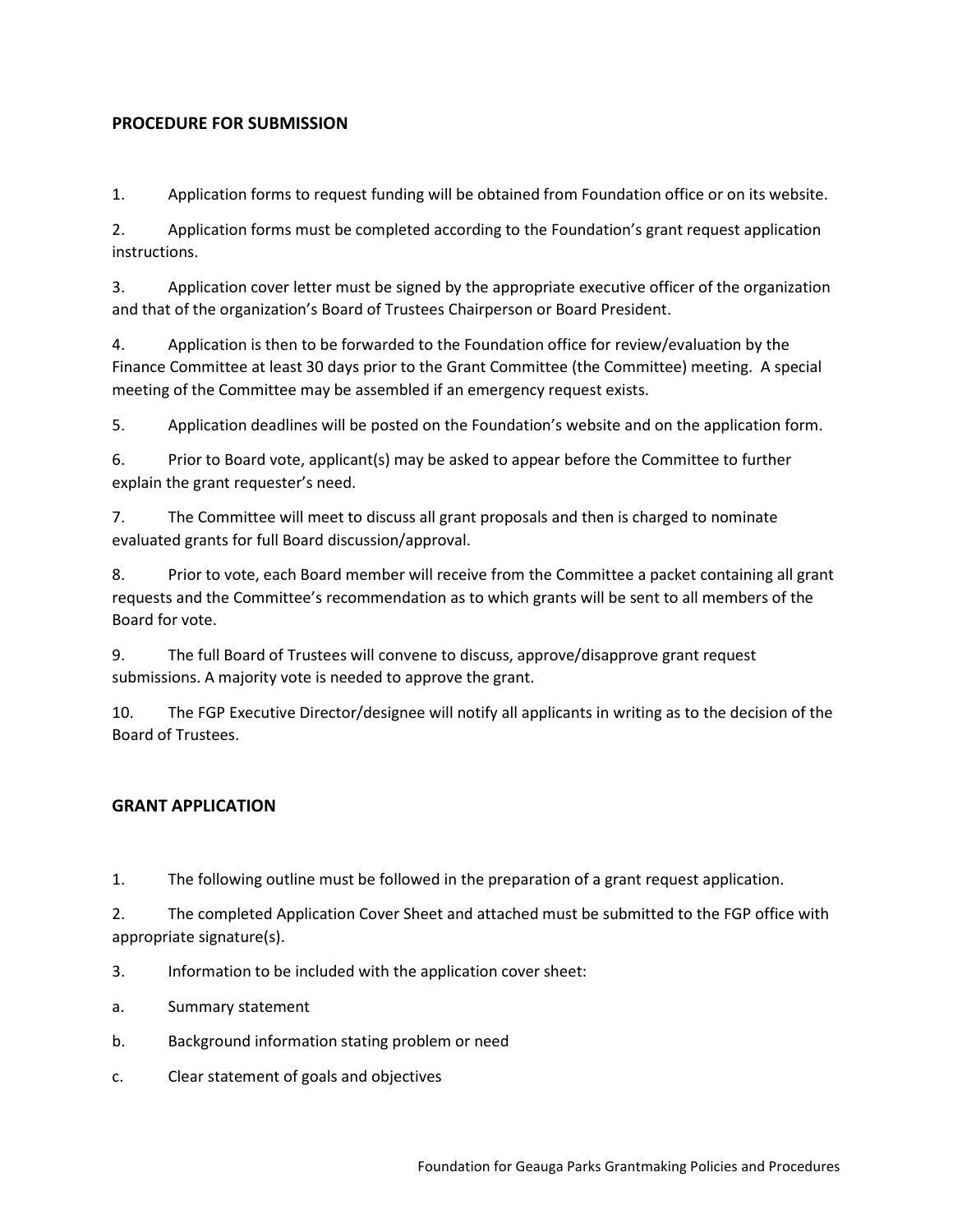# **PROCEDURE FOR SUBMISSION**

1. Application forms to request funding will be obtained from Foundation office or on its website.

2. Application forms must be completed according to the Foundation's grant request application instructions.

3. Application cover letter must be signed by the appropriate executive officer of the organization and that of the organization's Board of Trustees Chairperson or Board President.

4. Application is then to be forwarded to the Foundation office for review/evaluation by the Finance Committee at least 30 days prior to the Grant Committee (the Committee) meeting. A special meeting of the Committee may be assembled if an emergency request exists.

5. Application deadlines will be posted on the Foundation's website and on the application form.

6. Prior to Board vote, applicant(s) may be asked to appear before the Committee to further explain the grant requester's need.

7. The Committee will meet to discuss all grant proposals and then is charged to nominate evaluated grants for full Board discussion/approval.

8. Prior to vote, each Board member will receive from the Committee a packet containing all grant requests and the Committee's recommendation as to which grants will be sent to all members of the Board for vote.

9. The full Board of Trustees will convene to discuss, approve/disapprove grant request submissions. A majority vote is needed to approve the grant.

10. The FGP Executive Director/designee will notify all applicants in writing as to the decision of the Board of Trustees.

# **GRANT APPLICATION**

1. The following outline must be followed in the preparation of a grant request application.

2. The completed Application Cover Sheet and attached must be submitted to the FGP office with appropriate signature(s).

- 3. Information to be included with the application cover sheet:
- a. Summary statement
- b. Background information stating problem or need
- c. Clear statement of goals and objectives